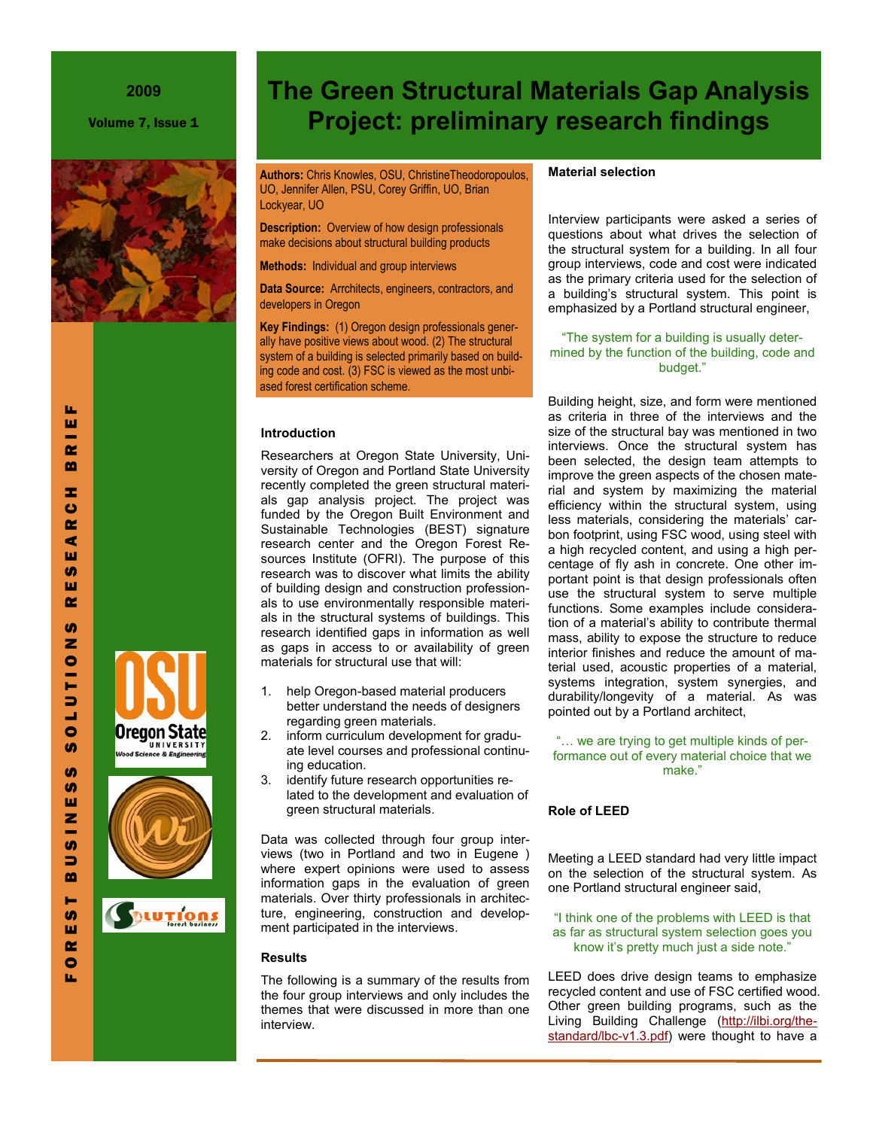Volume 7, Issue 1



**Authors:** Chris Knowles, OSU, ChristineTheodoropoulos, UO, Jennifer Allen, PSU, Corey Griffin, UO, Brian Lockyear, UO

**Description:** Overview of how design professionals make decisions about structural building products

**Methods:** Individual and group interviews

**Data Source:** Arrchitects, engineers, contractors, and developers in Oregon

**Key Findings:** (1) Oregon design professionals generally have positive views about wood. (2) The structural system of a building is selected primarily based on building code and cost. (3) FSC is viewed as the most unbiased forest certification scheme.

### **Introduction**

Researchers at Oregon State University, University of Oregon and Portland State University recently completed the green structural materials gap analysis project. The project was funded by the Oregon Built Environment and Sustainable Technologies (BEST) signature research center and the Oregon Forest Resources Institute (OFRI). The purpose of this research was to discover what limits the ability of building design and construction professionals to use environmentally responsible materials in the structural systems of buildings. This research identified gaps in information as well as gaps in access to or availability of green materials for structural use that will:

- 1. help Oregon-based material producers better understand the needs of designers regarding green materials.
- 2. inform curriculum development for graduate level courses and professional continuing education.
- 3. identify future research opportunities related to the development and evaluation of green structural materials.

Data was collected through four group interviews (two in Portland and two in Eugene ) where expert opinions were used to assess information gaps in the evaluation of green materials. Over thirty professionals in architecture, engineering, construction and development participated in the interviews.

## **Results**

The following is a summary of the results from the four group interviews and only includes the themes that were discussed in more than one interview.

# **Material selection**

**The Green Structural Materials Gap Analysis** 

**Project: preliminary research findings**

Interview participants were asked a series of questions about what drives the selection of the structural system for a building. In all four group interviews, code and cost were indicated as the primary criteria used for the selection of a building's structural system. This point is emphasized by a Portland structural engineer,

# "The system for a building is usually determined by the function of the building, code and budget."

Building height, size, and form were mentioned as criteria in three of the interviews and the size of the structural bay was mentioned in two interviews. Once the structural system has been selected, the design team attempts to improve the green aspects of the chosen material and system by maximizing the material efficiency within the structural system, using less materials, considering the materials' carbon footprint, using FSC wood, using steel with a high recycled content, and using a high percentage of fly ash in concrete. One other important point is that design professionals often use the structural system to serve multiple functions. Some examples include consideration of a material's ability to contribute thermal mass, ability to expose the structure to reduce interior finishes and reduce the amount of material used, acoustic properties of a material, systems integration, system synergies, and durability/longevity of a material. As was pointed out by a Portland architect,

"… we are trying to get multiple kinds of performance out of every material choice that we make."

### **Role of LEED**

Meeting a LEED standard had very little impact on the selection of the structural system. As one Portland structural engineer said,

"I think one of the problems with LEED is that as far as structural system selection goes you know it's pretty much just a side note."

LEED does drive design teams to emphasize recycled content and use of FSC certified wood. Other green building programs, such as the Living Building Challenge [\(http://ilbi.org/the](http://ilbi.org/the-standard/lbc-v1.3.pdf)[standard/lbc-v1.3.pdf\)](http://ilbi.org/the-standard/lbc-v1.3.pdf) were thought to have a

F O R E S T B U S I N E S S S O L U T I O N S R E S E A R C H B R I E F ш œ m ÷.  $\bullet$  $\alpha$ ⋖ ш **SD** ш  $\alpha$ m z  $\bullet$ E  $\Rightarrow$ پ  $\bullet$ **SD In SD** ш z **U)**  $\Rightarrow$  $\mathbf{m}$ н **S** ш  $\alpha$  $\bullet$ 

u,

ш